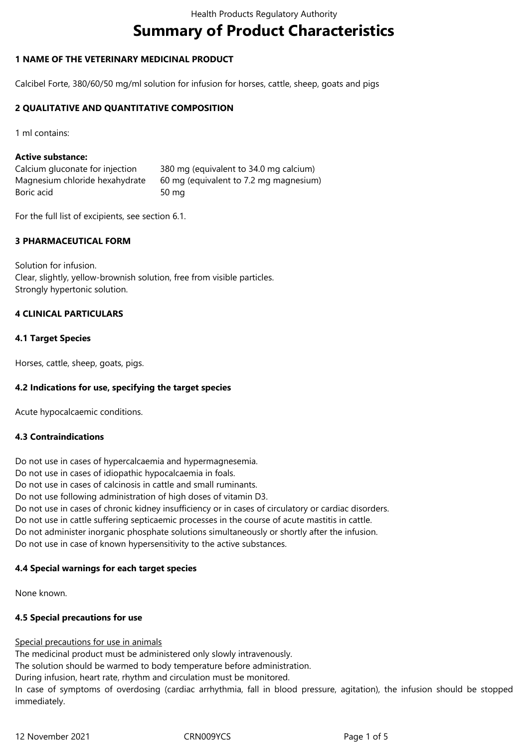# **Summary of Product Characteristics**

# **1 NAME OF THE VETERINARY MEDICINAL PRODUCT**

Calcibel Forte, 380/60/50 mg/ml solution for infusion for horses, cattle, sheep, goats and pigs

# **2 QUALITATIVE AND QUANTITATIVE COMPOSITION**

1 ml contains:

# **Active substance:**

| Calcium gluconate for injection | 380 mg (equivalent to 34.0 mg calcium) |
|---------------------------------|----------------------------------------|
| Magnesium chloride hexahydrate  | 60 mg (equivalent to 7.2 mg magnesium) |
| Boric acid                      | 50 mg                                  |

For the full list of excipients, see section 6.1.

# **3 PHARMACEUTICAL FORM**

Solution for infusion. Clear, slightly, yellow-brownish solution, free from visible particles. Strongly hypertonic solution.

# **4 CLINICAL PARTICULARS**

# **4.1 Target Species**

Horses, cattle, sheep, goats, pigs.

# **4.2 Indications for use, specifying the target species**

Acute hypocalcaemic conditions.

# **4.3 Contraindications**

Do not use in cases of hypercalcaemia and hypermagnesemia. Do not use in cases of idiopathic hypocalcaemia in foals. Do not use in cases of calcinosis in cattle and small ruminants. Do not use following administration of high doses of vitamin D3. Do not use in cases of chronic kidney insufficiency or in cases of circulatory or cardiac disorders. Do not use in cattle suffering septicaemic processes in the course of acute mastitis in cattle. Do not administer inorganic phosphate solutions simultaneously or shortly after the infusion. Do not use in case of known hypersensitivity to the active substances.

# **4.4 Special warnings for each target species**

None known.

# **4.5 Special precautions for use**

# Special precautions for use in animals

The medicinal product must be administered only slowly intravenously. The solution should be warmed to body temperature before administration.

During infusion, heart rate, rhythm and circulation must be monitored.

In case of symptoms of overdosing (cardiac arrhythmia, fall in blood pressure, agitation), the infusion should be stopped immediately.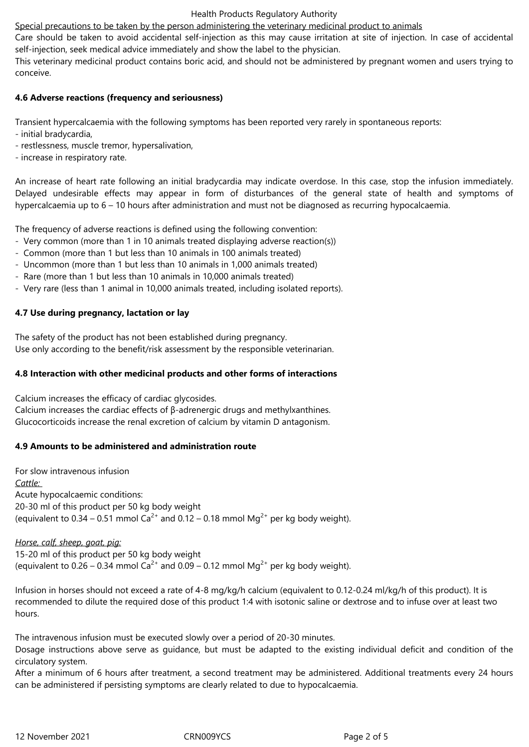Special precautions to be taken by the person administering the veterinary medicinal product to animals

Care should be taken to avoid accidental self-injection as this may cause irritation at site of injection. In case of accidental self-injection, seek medical advice immediately and show the label to the physician.

This veterinary medicinal product contains boric acid, and should not be administered by pregnant women and users trying to conceive.

# **4.6 Adverse reactions (frequency and seriousness)**

Transient hypercalcaemia with the following symptoms has been reported very rarely in spontaneous reports:

- initial bradycardia,
- restlessness, muscle tremor, hypersalivation,
- increase in respiratory rate.

An increase of heart rate following an initial bradycardia may indicate overdose. In this case, stop the infusion immediately. Delayed undesirable effects may appear in form of disturbances of the general state of health and symptoms of hypercalcaemia up to  $6 - 10$  hours after administration and must not be diagnosed as recurring hypocalcaemia.

The frequency of adverse reactions is defined using the following convention:

- Very common (more than 1 in 10 animals treated displaying adverse reaction(s))
- Common (more than 1 but less than 10 animals in 100 animals treated)
- Uncommon (more than 1 but less than 10 animals in 1,000 animals treated)
- Rare (more than 1 but less than 10 animals in 10,000 animals treated)
- Very rare (less than 1 animal in 10,000 animals treated, including isolated reports).

# **4.7 Use during pregnancy, lactation or lay**

The safety of the product has not been established during pregnancy. Use only according to the benefit/risk assessment by the responsible veterinarian.

# **4.8 Interaction with other medicinal products and other forms of interactions**

Calcium increases the efficacy of cardiac glycosides.

Calcium increases the cardiac effects of β-adrenergic drugs and methylxanthines. Glucocorticoids increase the renal excretion of calcium by vitamin D antagonism.

# **4.9 Amounts to be administered and administration route**

For slow intravenous infusion *Cattle:*  Acute hypocalcaemic conditions: 20-30 ml of this product per 50 kg body weight (equivalent to 0.34 – 0.51 mmol  $Ca^{2+}$  and 0.12 – 0.18 mmol Mg<sup>2+</sup> per kg body weight).

# *Horse, calf, sheep, goat, pig:*

15-20 ml of this product per 50 kg body weight (equivalent to  $0.26 - 0.34$  mmol Ca<sup>2+</sup> and  $0.09 - 0.12$  mmol Mg<sup>2+</sup> per kg body weight).

Infusion in horses should not exceed a rate of 4-8 mg/kg/h calcium (equivalent to 0.12-0.24 ml/kg/h of this product). It is recommended to dilute the required dose of this product 1:4 with isotonic saline or dextrose and to infuse over at least two hours.

The intravenous infusion must be executed slowly over a period of 20-30 minutes.

Dosage instructions above serve as guidance, but must be adapted to the existing individual deficit and condition of the circulatory system.

After a minimum of 6 hours after treatment, a second treatment may be administered. Additional treatments every 24 hours can be administered if persisting symptoms are clearly related to due to hypocalcaemia.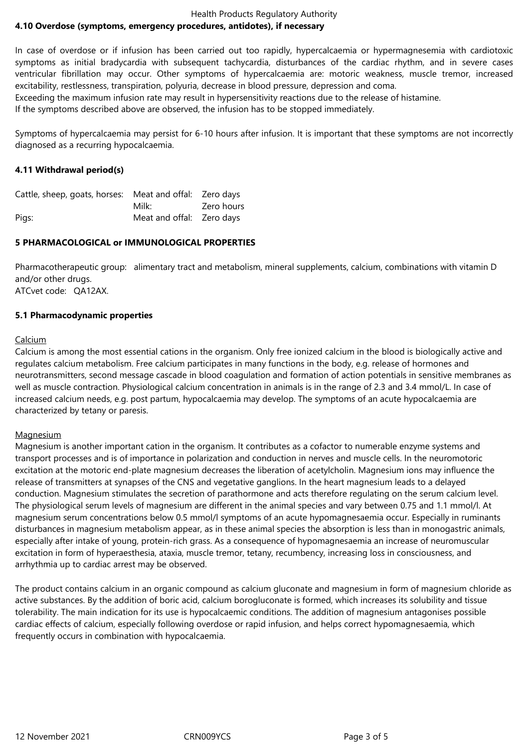#### Health Products Regulatory Authority **4.10 Overdose (symptoms, emergency procedures, antidotes), if necessary**

In case of overdose or if infusion has been carried out too rapidly, hypercalcaemia or hypermagnesemia with cardiotoxic symptoms as initial bradycardia with subsequent tachycardia, disturbances of the cardiac rhythm, and in severe cases ventricular fibrillation may occur. Other symptoms of hypercalcaemia are: motoric weakness, muscle tremor, increased excitability, restlessness, transpiration, polyuria, decrease in blood pressure, depression and coma. Exceeding the maximum infusion rate may result in hypersensitivity reactions due to the release of histamine.

If the symptoms described above are observed, the infusion has to be stopped immediately.

Symptoms of hypercalcaemia may persist for 6-10 hours after infusion. It is important that these symptoms are not incorrectly diagnosed as a recurring hypocalcaemia.

# **4.11 Withdrawal period(s)**

| Cattle, sheep, goats, horses: Meat and offal: Zero days |                           |            |
|---------------------------------------------------------|---------------------------|------------|
|                                                         | Milk:                     | Zero hours |
| Pigs:                                                   | Meat and offal: Zero days |            |

# **5 PHARMACOLOGICAL or IMMUNOLOGICAL PROPERTIES**

Pharmacotherapeutic group: alimentary tract and metabolism, mineral supplements, calcium, combinations with vitamin D and/or other drugs. ATCvet code: QA12AX.

# **5.1 Pharmacodynamic properties**

# Calcium

Calcium is among the most essential cations in the organism. Only free ionized calcium in the blood is biologically active and regulates calcium metabolism. Free calcium participates in many functions in the body, e.g. release of hormones and neurotransmitters, second message cascade in blood coagulation and formation of action potentials in sensitive membranes as well as muscle contraction. Physiological calcium concentration in animals is in the range of 2.3 and 3.4 mmol/L. In case of increased calcium needs, e.g. post partum, hypocalcaemia may develop. The symptoms of an acute hypocalcaemia are characterized by tetany or paresis.

# **Magnesium**

Magnesium is another important cation in the organism. It contributes as a cofactor to numerable enzyme systems and transport processes and is of importance in polarization and conduction in nerves and muscle cells. In the neuromotoric excitation at the motoric end-plate magnesium decreases the liberation of acetylcholin. Magnesium ions may influence the release of transmitters at synapses of the CNS and vegetative ganglions. In the heart magnesium leads to a delayed conduction. Magnesium stimulates the secretion of parathormone and acts therefore regulating on the serum calcium level. The physiological serum levels of magnesium are different in the animal species and vary between 0.75 and 1.1 mmol/l. At magnesium serum concentrations below 0.5 mmol/l symptoms of an acute hypomagnesaemia occur. Especially in ruminants disturbances in magnesium metabolism appear, as in these animal species the absorption is less than in monogastric animals, especially after intake of young, protein-rich grass. As a consequence of hypomagnesaemia an increase of neuromuscular excitation in form of hyperaesthesia, ataxia, muscle tremor, tetany, recumbency, increasing loss in consciousness, and arrhythmia up to cardiac arrest may be observed.

The product contains calcium in an organic compound as calcium gluconate and magnesium in form of magnesium chloride as active substances. By the addition of boric acid, calcium borogluconate is formed, which increases its solubility and tissue tolerability. The main indication for its use is hypocalcaemic conditions. The addition of magnesium antagonises possible cardiac effects of calcium, especially following overdose or rapid infusion, and helps correct hypomagnesaemia, which frequently occurs in combination with hypocalcaemia.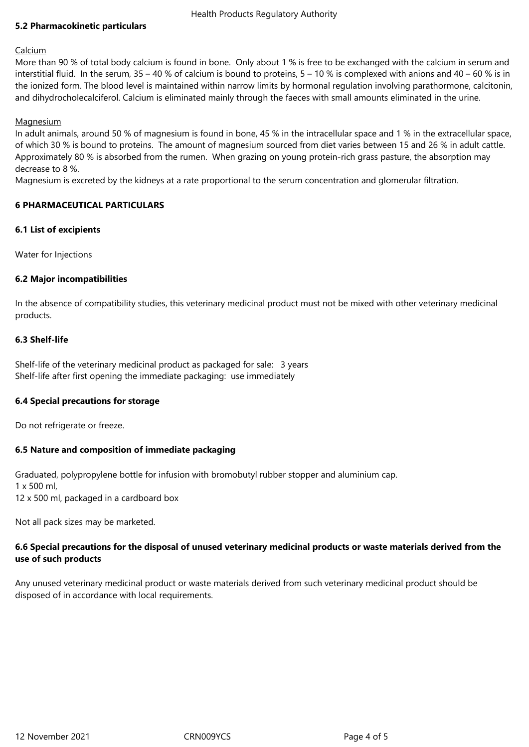#### Health Products Regulatory Authority

# **5.2 Pharmacokinetic particulars**

#### Calcium

More than 90 % of total body calcium is found in bone. Only about 1 % is free to be exchanged with the calcium in serum and interstitial fluid. In the serum,  $35 - 40$  % of calcium is bound to proteins,  $5 - 10$  % is complexed with anions and  $40 - 60$  % is in the ionized form. The blood level is maintained within narrow limits by hormonal regulation involving parathormone, calcitonin, and dihydrocholecalciferol. Calcium is eliminated mainly through the faeces with small amounts eliminated in the urine.

#### **Magnesium**

In adult animals, around 50 % of magnesium is found in bone, 45 % in the intracellular space and 1 % in the extracellular space, of which 30 % is bound to proteins. The amount of magnesium sourced from diet varies between 15 and 26 % in adult cattle. Approximately 80 % is absorbed from the rumen. When grazing on young protein-rich grass pasture, the absorption may decrease to 8 %.

Magnesium is excreted by the kidneys at a rate proportional to the serum concentration and glomerular filtration.

#### **6 PHARMACEUTICAL PARTICULARS**

#### **6.1 List of excipients**

Water for Injections

#### **6.2 Major incompatibilities**

In the absence of compatibility studies, this veterinary medicinal product must not be mixed with other veterinary medicinal products.

#### **6.3 Shelf-life**

Shelf-life of the veterinary medicinal product as packaged for sale: 3 years Shelf-life after first opening the immediate packaging: use immediately

#### **6.4 Special precautions for storage**

Do not refrigerate or freeze.

# **6.5 Nature and composition of immediate packaging**

Graduated, polypropylene bottle for infusion with bromobutyl rubber stopper and aluminium cap. 1 x 500 ml, 12 x 500 ml, packaged in a cardboard box

Not all pack sizes may be marketed.

# **6.6 Special precautions for the disposal of unused veterinary medicinal products or waste materials derived from the use of such products**

Any unused veterinary medicinal product or waste materials derived from such veterinary medicinal product should be disposed of in accordance with local requirements.